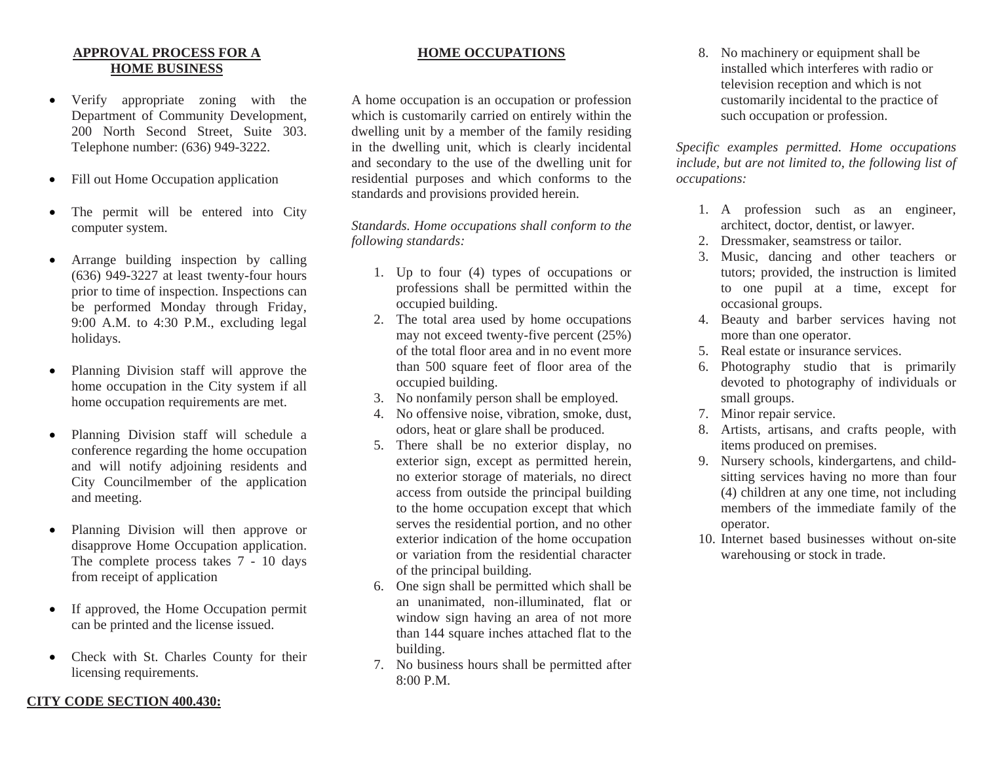## **APPROVAL PROCESS FOR A HOME BUSINESS**

- • Verify appropriate zoning with the Department of Community Development, 200 North Second Street, Suite 303. Telephone number: (636) 949-3222.
- •Fill out Home Occupation application
- • The permit will be entered into City computer system.
- • Arrange building inspection by calling (636) 949-3227 at least twenty-four hours prior to time of inspection. Inspections can be performed Monday through Friday, 9:00 A.M. to 4:30 P.M., excluding legal holidays.
- • Planning Division staff will approve the home occupation in the City system if all home occupation requirements are met.
- • Planning Division staff will schedule a conference regarding the home occupation and will notify adjoining residents and City Councilmember of the application and meeting.
- • Planning Division will then approve or disapprove Home Occupation application. The complete process takes 7 - 10 days from receipt of application
- • If approved, the Home Occupation permit can be printed and the license issued.
- • Check with St. Charles County for their licensing requirements.

## **HOME OCCUPATIONS**

A home occupation is an occupation or profession which is customarily carried on entirely within the dwelling unit by a member of the family residing in the dwelling unit, which is clearly incidental and secondary to the use of the dwelling unit for residential purposes and which conforms to the standards and provisions provided herein.

*Standards. Home occupations shall conform to the following standards:* 

- 1. Up to four (4) types of occupations or professions shall be permitted within the occupied building.
- 2. The total area used by home occupations may not exceed twenty-five percent (25%) of the total floor area and in no event more than 500 square feet of floor area of the occupied building.
- 3. No nonfamily person shall be employed.
- 4. No offensive noise, vibration, smoke, dust, odors, heat or glare shall be produced.
- 5. There shall be no exterior display, no exterior sign, except as permitted herein, no exterior storage of materials, no direct access from outside the principal building to the home occupation except that which serves the residential portion, and no other exterior indication of the home occupation or variation from the residential character of the principal building.
- 6. One sign shall be permitted which shall be an unanimated, non-illuminated, flat or window sign having an area of not more than 144 square inches attached flat to the building.
- 7. No business hours shall be permitted after 8:00 P.M.

8. No machinery or equipment shall be installed which interferes with radio or television reception and which is not customarily incidental to the practice of such occupation or profession.

*Specific examples permitted. Home occupations include, but are not limited to, the following list of occupations:* 

- 1. A profession such as an engineer, architect, doctor, dentist, or lawyer.
- 2. Dressmaker, seamstress or tailor.
- 3. Music, dancing and other teachers or tutors; provided, the instruction is limited to one pupil at a time, except for occasional groups.
- 4. Beauty and barber services having not more than one operator.
- 5. Real estate or insurance services.
- 6. Photography studio that is primarily devoted to photography of individuals or small groups.
- 7. Minor repair service.
- 8. Artists, artisans, and crafts people, with items produced on premises.
- 9. Nursery schools, kindergartens, and childsitting services having no more than four (4) children at any one time, not including members of the immediate family of the operator.
- 10. Internet based businesses without on-site warehousing or stock in trade.

## **CITY CODE SECTION 400.430:**